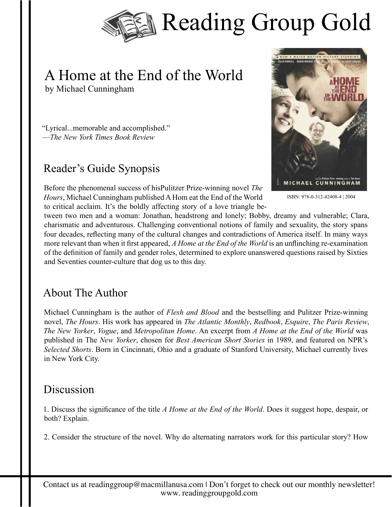

## A Home at the End of the World by Michael Cunningham

"Lyrical...memorable and accomplished." —*The New York Times Book Review*

#### Reader's Guide Synopsis

Before the phenomenal success of hisPulitzer Prize-winning novel *The Hours*, Michael Cunningham published A Hom eat the End of the World to critical acclaim. It's the boldly affecting story of a love triangle be-



ISBN: 978-0-312-42408-4 | 2004

tween two men and a woman: Jonathan, headstrong and lonely; Bobby, dreamy and vulnerable; Clara, charismatic and adventurous. Challenging conventional notions of family and sexuality, the story spans four decades, reflecting many of the cultural changes and contradictions of America itself. In many ways more relevant than when it first appeared, *A Home at the End of the World* is an unflinching re-examination of the definition of family and gender roles, determined to explore unanswered questions raised by Sixties and Seventies counter-culture that dog us to this day.

### About The Author

Michael Cunningham is the author of *Flesh and Blood* and the bestselling and Pulitzer Prize-winning novel, *The Hours*. His work has appeared in *The Atlantic Monthly*, *Redbook*, *Esquire*, *The Paris Review*, *The New Yorker*, *Vogue*, and *Metropolitan Home*. An excerpt from *A Home at the End of the World* was published in The *New Yorker*, chosen for *Best American Short Stories* in 1989, and featured on NPR's *Selected Shorts*. Born in Cincinnati, Ohio and a graduate of Stanford University, Michael currently lives in New York City.

#### **Discussion**

1. Discuss the significance of the title *A Home at the End of the World*. Does it suggest hope, despair, or both? Explain.

2. Consider the structure of the novel. Why do alternating narrators work for this particular story? How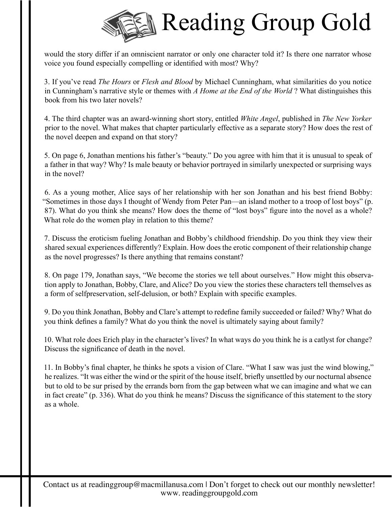

would the story differ if an omniscient narrator or only one character told it? Is there one narrator whose voice you found especially compelling or identified with most? Why?

3. If you've read *The Hours* or *Flesh and Blood* by Michael Cunningham, what similarities do you notice in Cunningham's narrative style or themes with *A Home at the End of the World* ? What distinguishes this book from his two later novels?

4. The third chapter was an award-winning short story, entitled *White Angel*, published in *The New Yorker*  prior to the novel. What makes that chapter particularly effective as a separate story? How does the rest of the novel deepen and expand on that story?

5. On page 6, Jonathan mentions his father's "beauty." Do you agree with him that it is unusual to speak of a father in that way? Why? Is male beauty or behavior portrayed in similarly unexpected or surprising ways in the novel?

6. As a young mother, Alice says of her relationship with her son Jonathan and his best friend Bobby: "Sometimes in those days I thought of Wendy from Peter Pan—an island mother to a troop of lost boys" (p. 87). What do you think she means? How does the theme of "lost boys" figure into the novel as a whole? What role do the women play in relation to this theme?

7. Discuss the eroticism fueling Jonathan and Bobby's childhood friendship. Do you think they view their shared sexual experiences differently? Explain. How does the erotic component of their relationship change as the novel progresses? Is there anything that remains constant?

8. On page 179, Jonathan says, "We become the stories we tell about ourselves." How might this observation apply to Jonathan, Bobby, Clare, and Alice? Do you view the stories these characters tell themselves as a form of selfpreservation, self-delusion, or both? Explain with specific examples.

9. Do you think Jonathan, Bobby and Clare's attempt to redefine family succeeded or failed? Why? What do you think defines a family? What do you think the novel is ultimately saying about family?

10. What role does Erich play in the character's lives? In what ways do you think he is a catlyst for change? Discuss the significance of death in the novel.

11. In Bobby's final chapter, he thinks he spots a vision of Clare. "What I saw was just the wind blowing," he realizes. "It was either the wind or the spirit of the house itself, briefly unsettled by our nocturnal absence but to old to be sur prised by the errands born from the gap between what we can imagine and what we can in fact create" (p. 336). What do you think he means? Discuss the significance of this statement to the story as a whole.